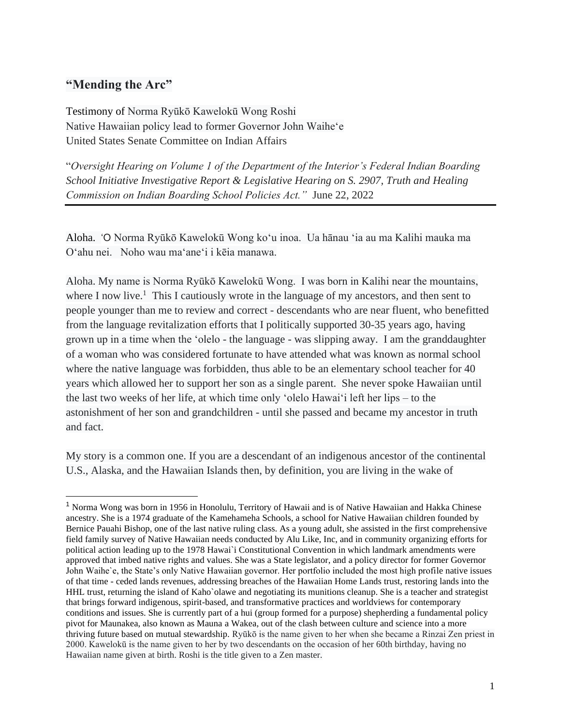# **"Mending the Arc"**

Testimony of Norma Ryūkō Kawelokū Wong Roshi Native Hawaiian policy lead to former Governor John Waiheʻe United States Senate Committee on Indian Affairs

"*Oversight Hearing on Volume 1 of the Department of the Interior's Federal Indian Boarding School Initiative Investigative Report & Legislative Hearing on S. 2907, Truth and Healing Commission on Indian Boarding School Policies Act."* June 22, 2022

Aloha. 'O Norma Ryūkō Kawelokū Wong koʻu inoa. Ua hānau ʻia au ma Kalihi mauka ma Oʻahu nei. Noho wau ma'ane'i i kēia manawa.

Aloha. My name is Norma Ryūkō Kawelokū Wong. I was born in Kalihi near the mountains, where I now live.<sup>1</sup> This I cautiously wrote in the language of my ancestors, and then sent to people younger than me to review and correct - descendants who are near fluent, who benefitted from the language revitalization efforts that I politically supported 30-35 years ago, having grown up in a time when the 'olelo - the language - was slipping away. I am the granddaughter of a woman who was considered fortunate to have attended what was known as normal school where the native language was forbidden, thus able to be an elementary school teacher for 40 years which allowed her to support her son as a single parent. She never spoke Hawaiian until the last two weeks of her life, at which time only 'olelo Hawai'i left her lips – to the astonishment of her son and grandchildren - until she passed and became my ancestor in truth and fact.

My story is a common one. If you are a descendant of an indigenous ancestor of the continental U.S., Alaska, and the Hawaiian Islands then, by definition, you are living in the wake of

<sup>1</sup> Norma Wong was born in 1956 in Honolulu, Territory of Hawaii and is of Native Hawaiian and Hakka Chinese ancestry. She is a 1974 graduate of the Kamehameha Schools, a school for Native Hawaiian children founded by Bernice Pauahi Bishop, one of the last native ruling class. As a young adult, she assisted in the first comprehensive field family survey of Native Hawaiian needs conducted by Alu Like, Inc, and in community organizing efforts for political action leading up to the 1978 Hawai`i Constitutional Convention in which landmark amendments were approved that imbed native rights and values. She was a State legislator, and a policy director for former Governor John Waihe`e, the State's only Native Hawaiian governor. Her portfolio included the most high profile native issues of that time - ceded lands revenues, addressing breaches of the Hawaiian Home Lands trust, restoring lands into the HHL trust, returning the island of Kaho`olawe and negotiating its munitions cleanup. She is a teacher and strategist that brings forward indigenous, spirit-based, and transformative practices and worldviews for contemporary conditions and issues. She is currently part of a hui (group formed for a purpose) shepherding a fundamental policy pivot for Maunakea, also known as Mauna a Wakea, out of the clash between culture and science into a more thriving future based on mutual stewardship. Ryūkō is the name given to her when she became a Rinzai Zen priest in 2000. Kawelokū is the name given to her by two descendants on the occasion of her 60th birthday, having no Hawaiian name given at birth. Roshi is the title given to a Zen master.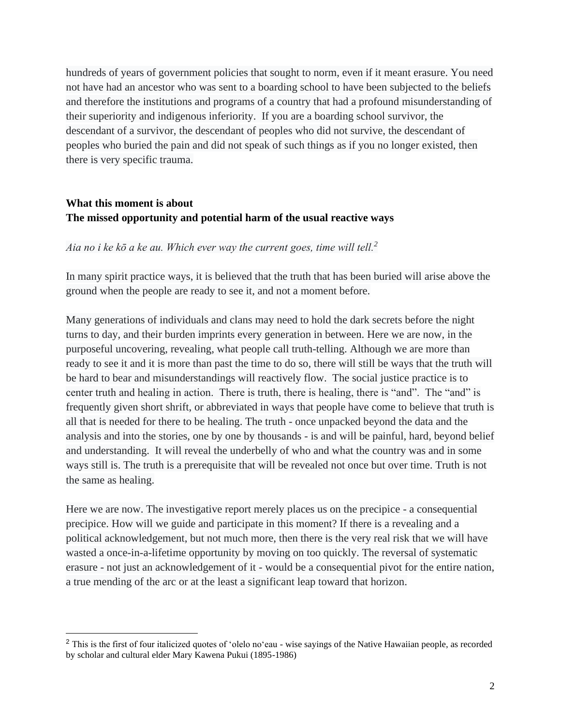hundreds of years of government policies that sought to norm, even if it meant erasure. You need not have had an ancestor who was sent to a boarding school to have been subjected to the beliefs and therefore the institutions and programs of a country that had a profound misunderstanding of their superiority and indigenous inferiority. If you are a boarding school survivor, the descendant of a survivor, the descendant of peoples who did not survive, the descendant of peoples who buried the pain and did not speak of such things as if you no longer existed, then there is very specific trauma.

## **What this moment is about The missed opportunity and potential harm of the usual reactive ways**

#### *Aia no i ke kō a ke au. Which ever way the current goes, time will tell.<sup>2</sup>*

In many spirit practice ways, it is believed that the truth that has been buried will arise above the ground when the people are ready to see it, and not a moment before.

Many generations of individuals and clans may need to hold the dark secrets before the night turns to day, and their burden imprints every generation in between. Here we are now, in the purposeful uncovering, revealing, what people call truth-telling. Although we are more than ready to see it and it is more than past the time to do so, there will still be ways that the truth will be hard to bear and misunderstandings will reactively flow. The social justice practice is to center truth and healing in action. There is truth, there is healing, there is "and". The "and" is frequently given short shrift, or abbreviated in ways that people have come to believe that truth is all that is needed for there to be healing. The truth - once unpacked beyond the data and the analysis and into the stories, one by one by thousands - is and will be painful, hard, beyond belief and understanding. It will reveal the underbelly of who and what the country was and in some ways still is. The truth is a prerequisite that will be revealed not once but over time. Truth is not the same as healing.

Here we are now. The investigative report merely places us on the precipice - a consequential precipice. How will we guide and participate in this moment? If there is a revealing and a political acknowledgement, but not much more, then there is the very real risk that we will have wasted a once-in-a-lifetime opportunity by moving on too quickly. The reversal of systematic erasure - not just an acknowledgement of it - would be a consequential pivot for the entire nation, a true mending of the arc or at the least a significant leap toward that horizon.

<sup>&</sup>lt;sup>2</sup> This is the first of four italicized quotes of 'olelo no'eau - wise sayings of the Native Hawaiian people, as recorded by scholar and cultural elder Mary Kawena Pukui (1895-1986)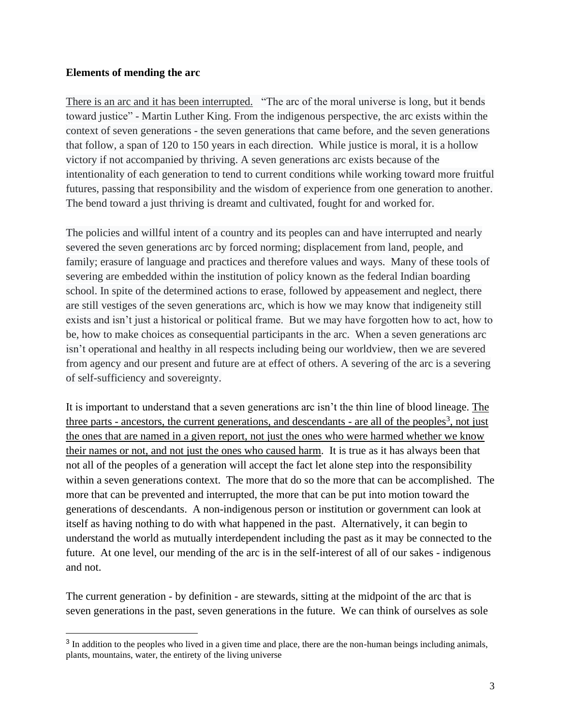### **Elements of mending the arc**

There is an arc and it has been interrupted. "The arc of the moral universe is long, but it bends toward justice" - Martin Luther King. From the indigenous perspective, the arc exists within the context of seven generations - the seven generations that came before, and the seven generations that follow, a span of 120 to 150 years in each direction. While justice is moral, it is a hollow victory if not accompanied by thriving. A seven generations arc exists because of the intentionality of each generation to tend to current conditions while working toward more fruitful futures, passing that responsibility and the wisdom of experience from one generation to another. The bend toward a just thriving is dreamt and cultivated, fought for and worked for.

The policies and willful intent of a country and its peoples can and have interrupted and nearly severed the seven generations arc by forced norming; displacement from land, people, and family; erasure of language and practices and therefore values and ways. Many of these tools of severing are embedded within the institution of policy known as the federal Indian boarding school. In spite of the determined actions to erase, followed by appeasement and neglect, there are still vestiges of the seven generations arc, which is how we may know that indigeneity still exists and isn't just a historical or political frame. But we may have forgotten how to act, how to be, how to make choices as consequential participants in the arc. When a seven generations arc isn't operational and healthy in all respects including being our worldview, then we are severed from agency and our present and future are at effect of others. A severing of the arc is a severing of self-sufficiency and sovereignty.

It is important to understand that a seven generations arc isn't the thin line of blood lineage. The three parts - ancestors, the current generations, and descendants - are all of the peoples<sup>3</sup>, not just the ones that are named in a given report, not just the ones who were harmed whether we know their names or not, and not just the ones who caused harm. It is true as it has always been that not all of the peoples of a generation will accept the fact let alone step into the responsibility within a seven generations context. The more that do so the more that can be accomplished. The more that can be prevented and interrupted, the more that can be put into motion toward the generations of descendants. A non-indigenous person or institution or government can look at itself as having nothing to do with what happened in the past. Alternatively, it can begin to understand the world as mutually interdependent including the past as it may be connected to the future. At one level, our mending of the arc is in the self-interest of all of our sakes - indigenous and not.

The current generation - by definition - are stewards, sitting at the midpoint of the arc that is seven generations in the past, seven generations in the future. We can think of ourselves as sole

<sup>&</sup>lt;sup>3</sup> In addition to the peoples who lived in a given time and place, there are the non-human beings including animals, plants, mountains, water, the entirety of the living universe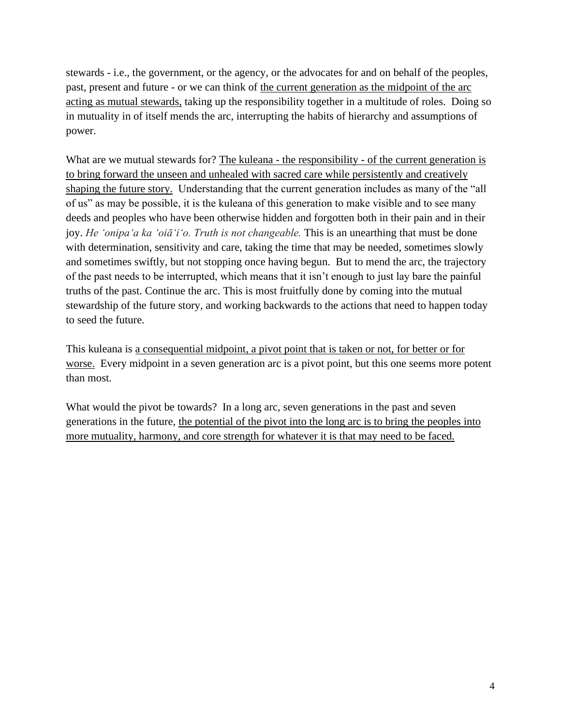stewards - i.e., the government, or the agency, or the advocates for and on behalf of the peoples, past, present and future - or we can think of the current generation as the midpoint of the arc acting as mutual stewards, taking up the responsibility together in a multitude of roles. Doing so in mutuality in of itself mends the arc, interrupting the habits of hierarchy and assumptions of power.

What are we mutual stewards for? The kuleana - the responsibility - of the current generation is to bring forward the unseen and unhealed with sacred care while persistently and creatively shaping the future story. Understanding that the current generation includes as many of the "all of us" as may be possible, it is the kuleana of this generation to make visible and to see many deeds and peoples who have been otherwise hidden and forgotten both in their pain and in their joy. *He 'onipa'a ka 'oiā'i'o. Truth is not changeable*. This is an unearthing that must be done with determination, sensitivity and care, taking the time that may be needed, sometimes slowly and sometimes swiftly, but not stopping once having begun. But to mend the arc, the trajectory of the past needs to be interrupted, which means that it isn't enough to just lay bare the painful truths of the past. Continue the arc. This is most fruitfully done by coming into the mutual stewardship of the future story, and working backwards to the actions that need to happen today to seed the future.

This kuleana is a consequential midpoint, a pivot point that is taken or not, for better or for worse. Every midpoint in a seven generation arc is a pivot point, but this one seems more potent than most.

What would the pivot be towards? In a long arc, seven generations in the past and seven generations in the future, the potential of the pivot into the long arc is to bring the peoples into more mutuality, harmony, and core strength for whatever it is that may need to be faced.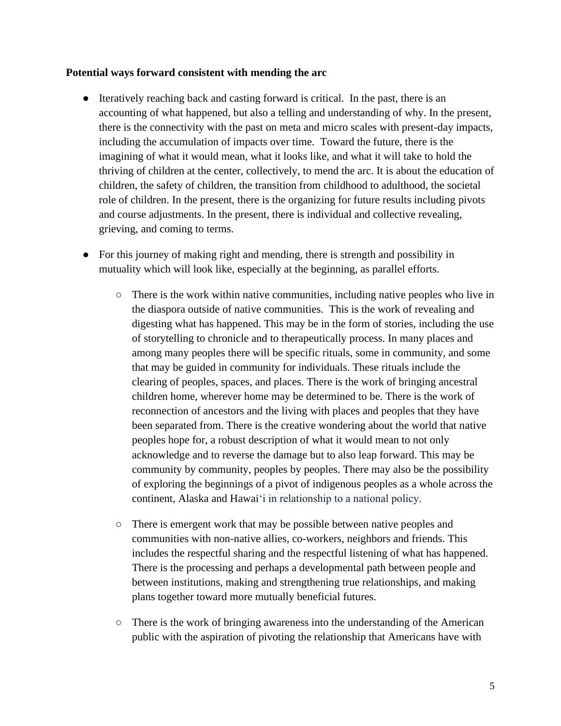#### **Potential ways forward consistent with mending the arc**

- Iteratively reaching back and casting forward is critical. In the past, there is an accounting of what happened, but also a telling and understanding of why. In the present, there is the connectivity with the past on meta and micro scales with present-day impacts, including the accumulation of impacts over time. Toward the future, there is the imagining of what it would mean, what it looks like, and what it will take to hold the thriving of children at the center, collectively, to mend the arc. It is about the education of children, the safety of children, the transition from childhood to adulthood, the societal role of children. In the present, there is the organizing for future results including pivots and course adjustments. In the present, there is individual and collective revealing, grieving, and coming to terms.
- For this journey of making right and mending, there is strength and possibility in mutuality which will look like, especially at the beginning, as parallel efforts.
	- $\circ$  There is the work within native communities, including native peoples who live in the diaspora outside of native communities. This is the work of revealing and digesting what has happened. This may be in the form of stories, including the use of storytelling to chronicle and to therapeutically process. In many places and among many peoples there will be specific rituals, some in community, and some that may be guided in community for individuals. These rituals include the clearing of peoples, spaces, and places. There is the work of bringing ancestral children home, wherever home may be determined to be. There is the work of reconnection of ancestors and the living with places and peoples that they have been separated from. There is the creative wondering about the world that native peoples hope for, a robust description of what it would mean to not only acknowledge and to reverse the damage but to also leap forward. This may be community by community, peoples by peoples. There may also be the possibility of exploring the beginnings of a pivot of indigenous peoples as a whole across the continent, Alaska and Hawaiʻi in relationship to a national policy.
	- There is emergent work that may be possible between native peoples and communities with non-native allies, co-workers, neighbors and friends. This includes the respectful sharing and the respectful listening of what has happened. There is the processing and perhaps a developmental path between people and between institutions, making and strengthening true relationships, and making plans together toward more mutually beneficial futures.
	- There is the work of bringing awareness into the understanding of the American public with the aspiration of pivoting the relationship that Americans have with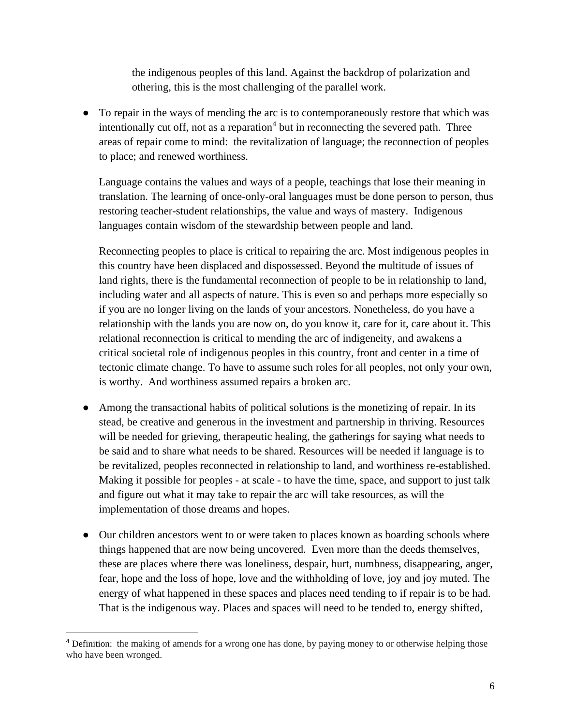the indigenous peoples of this land. Against the backdrop of polarization and othering, this is the most challenging of the parallel work.

● To repair in the ways of mending the arc is to contemporaneously restore that which was intentionally cut off, not as a reparation $4$  but in reconnecting the severed path. Three areas of repair come to mind: the revitalization of language; the reconnection of peoples to place; and renewed worthiness.

Language contains the values and ways of a people, teachings that lose their meaning in translation. The learning of once-only-oral languages must be done person to person, thus restoring teacher-student relationships, the value and ways of mastery. Indigenous languages contain wisdom of the stewardship between people and land.

Reconnecting peoples to place is critical to repairing the arc. Most indigenous peoples in this country have been displaced and dispossessed. Beyond the multitude of issues of land rights, there is the fundamental reconnection of people to be in relationship to land, including water and all aspects of nature. This is even so and perhaps more especially so if you are no longer living on the lands of your ancestors. Nonetheless, do you have a relationship with the lands you are now on, do you know it, care for it, care about it. This relational reconnection is critical to mending the arc of indigeneity, and awakens a critical societal role of indigenous peoples in this country, front and center in a time of tectonic climate change. To have to assume such roles for all peoples, not only your own, is worthy. And worthiness assumed repairs a broken arc.

- Among the transactional habits of political solutions is the monetizing of repair. In its stead, be creative and generous in the investment and partnership in thriving. Resources will be needed for grieving, therapeutic healing, the gatherings for saying what needs to be said and to share what needs to be shared. Resources will be needed if language is to be revitalized, peoples reconnected in relationship to land, and worthiness re-established. Making it possible for peoples - at scale - to have the time, space, and support to just talk and figure out what it may take to repair the arc will take resources, as will the implementation of those dreams and hopes.
- Our children ancestors went to or were taken to places known as boarding schools where things happened that are now being uncovered. Even more than the deeds themselves, these are places where there was loneliness, despair, hurt, numbness, disappearing, anger, fear, hope and the loss of hope, love and the withholding of love, joy and joy muted. The energy of what happened in these spaces and places need tending to if repair is to be had. That is the indigenous way. Places and spaces will need to be tended to, energy shifted,

<sup>&</sup>lt;sup>4</sup> Definition: the making of amends for a wrong one has done, by paying money to or otherwise helping those who have been wronged.